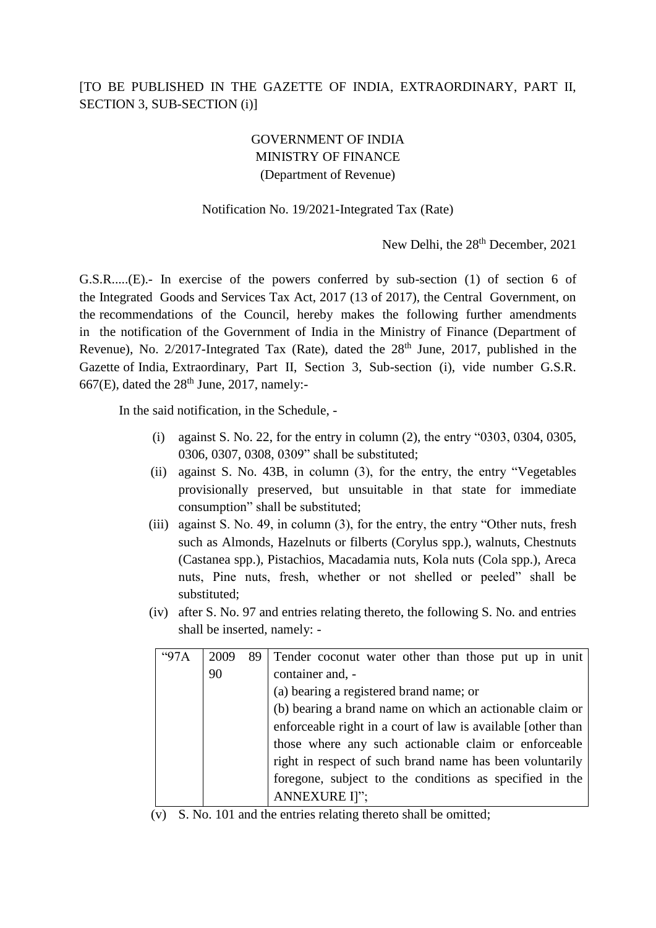## [TO BE PUBLISHED IN THE GAZETTE OF INDIA, EXTRAORDINARY, PART II, SECTION 3, SUB-SECTION (i)]

## GOVERNMENT OF INDIA MINISTRY OF FINANCE (Department of Revenue)

## Notification No. 19/2021-Integrated Tax (Rate)

New Delhi, the 28<sup>th</sup> December, 2021

G.S.R.....(E).- In exercise of the powers conferred by sub-section (1) of section 6 of the Integrated Goods and Services Tax Act, 2017 (13 of 2017), the Central Government, on the recommendations of the Council, hereby makes the following further amendments in the notification of the Government of India in the Ministry of Finance (Department of Revenue), No.  $2/2017$ -Integrated Tax (Rate), dated the  $28<sup>th</sup>$  June, 2017, published in the Gazette of India, Extraordinary, Part II, Section 3, Sub-section (i), vide number G.S.R. 667(E), dated the  $28<sup>th</sup>$  June, 2017, namely:-

In the said notification, in the Schedule, -

- (i) against S. No. 22, for the entry in column (2), the entry "0303, 0304, 0305, 0306, 0307, 0308, 0309" shall be substituted;
- (ii) against S. No. 43B, in column (3), for the entry, the entry "Vegetables provisionally preserved, but unsuitable in that state for immediate consumption" shall be substituted;
- (iii) against S. No. 49, in column (3), for the entry, the entry "Other nuts, fresh such as Almonds, Hazelnuts or filberts (Corylus spp.), walnuts, Chestnuts (Castanea spp.), Pistachios, Macadamia nuts, Kola nuts (Cola spp.), Areca nuts, Pine nuts, fresh, whether or not shelled or peeled" shall be substituted;
- (iv) after S. No. 97 and entries relating thereto, the following S. No. and entries shall be inserted, namely: -

| "97A | 2009 | 89 | Tender coconut water other than those put up in unit         |
|------|------|----|--------------------------------------------------------------|
|      | 90   |    | container and, -                                             |
|      |      |    | (a) bearing a registered brand name; or                      |
|      |      |    | (b) bearing a brand name on which an actionable claim or     |
|      |      |    | enforceable right in a court of law is available [other than |
|      |      |    | those where any such actionable claim or enforceable         |
|      |      |    | right in respect of such brand name has been voluntarily     |
|      |      |    | foregone, subject to the conditions as specified in the      |
|      |      |    | ANNEXURE I]";                                                |

(v) S. No. 101 and the entries relating thereto shall be omitted;